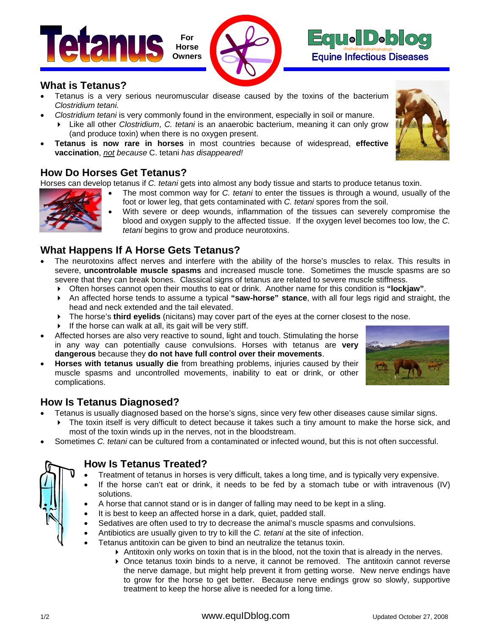





### **What is Tetanus?**

- Tetanus is a very serious neuromuscular disease caused by the toxins of the bacterium *Clostridium tetani.*
- *Clostridium tetani* is very commonly found in the environment, especially in soil or manure.
	- Like all other *Clostridium*, *C. tetani* is an anaerobic bacterium, meaning it can only grow (and produce toxin) when there is no oxygen present.
- **Tetanus is now rare in horses** in most countries because of widespread, **effective vaccination**, *not because* C. tetani *has disappeared!*

### **How Do Horses Get Tetanus?**

Horses can develop tetanus if *C. tetani* gets into almost any body tissue and starts to produce tetanus toxin.

- The most common way for *C. tetani* to enter the tissues is through a wound, usually of the foot or lower leg, that gets contaminated with *C. tetani* spores from the soil.
	- With severe or deep wounds, inflammation of the tissues can severely compromise the blood and oxygen supply to the affected tissue. If the oxygen level becomes too low, the *C. tetani* begins to grow and produce neurotoxins.

## **What Happens If A Horse Gets Tetanus?**

- The neurotoxins affect nerves and interfere with the ability of the horse's muscles to relax. This results in severe, **uncontrolable muscle spasms** and increased muscle tone. Sometimes the muscle spasms are so severe that they can break bones. Classical signs of tetanus are related to severe muscle stiffness.
	- Often horses cannot open their mouths to eat or drink. Another name for this condition is **"lockjaw"**.
	- An affected horse tends to assume a typical **"saw-horse" stance**, with all four legs rigid and straight, the head and neck extended and the tail elevated.
	- The horse's **third eyelids** (nicitans) may cover part of the eyes at the corner closest to the nose.
	- $\triangleright$  If the horse can walk at all, its gait will be very stiff.
- Affected horses are also very reactive to sound, light and touch. Stimulating the horse in any way can potentially cause convulsions. Horses with tetanus are **very dangerous** because they **do not have full control over their movements**.
- **Horses with tetanus usually die** from breathing problems, injuries caused by their muscle spasms and uncontrolled movements, inability to eat or drink, or other complications.



# **How Is Tetanus Diagnosed?**

- Tetanus is usually diagnosed based on the horse's signs, since very few other diseases cause similar signs.
	- The toxin itself is very difficult to detect because it takes such a tiny amount to make the horse sick, and most of the toxin winds up in the nerves, not in the bloodstream.
- Sometimes *C. tetani* can be cultured from a contaminated or infected wound, but this is not often successful.



# **How Is Tetanus Treated?**

- Treatment of tetanus in horses is very difficult, takes a long time, and is typically very expensive.
- If the horse can't eat or drink, it needs to be fed by a stomach tube or with intravenous (IV) solutions.
- A horse that cannot stand or is in danger of falling may need to be kept in a sling.
- It is best to keep an affected horse in a dark, quiet, padded stall.
- Sedatives are often used to try to decrease the animal's muscle spasms and convulsions.
- Antibiotics are usually given to try to kill the *C. tetani* at the site of infection.
- Tetanus antitoxin can be given to bind an neutralize the tetanus toxin.
	- Antitoxin only works on toxin that is in the blood, not the toxin that is already in the nerves.
		- Once tetanus toxin binds to a nerve, it cannot be removed. The antitoxin cannot reverse the nerve damage, but might help prevent it from getting worse. New nerve endings have to grow for the horse to get better. Because nerve endings grow so slowly, supportive treatment to keep the horse alive is needed for a long time.